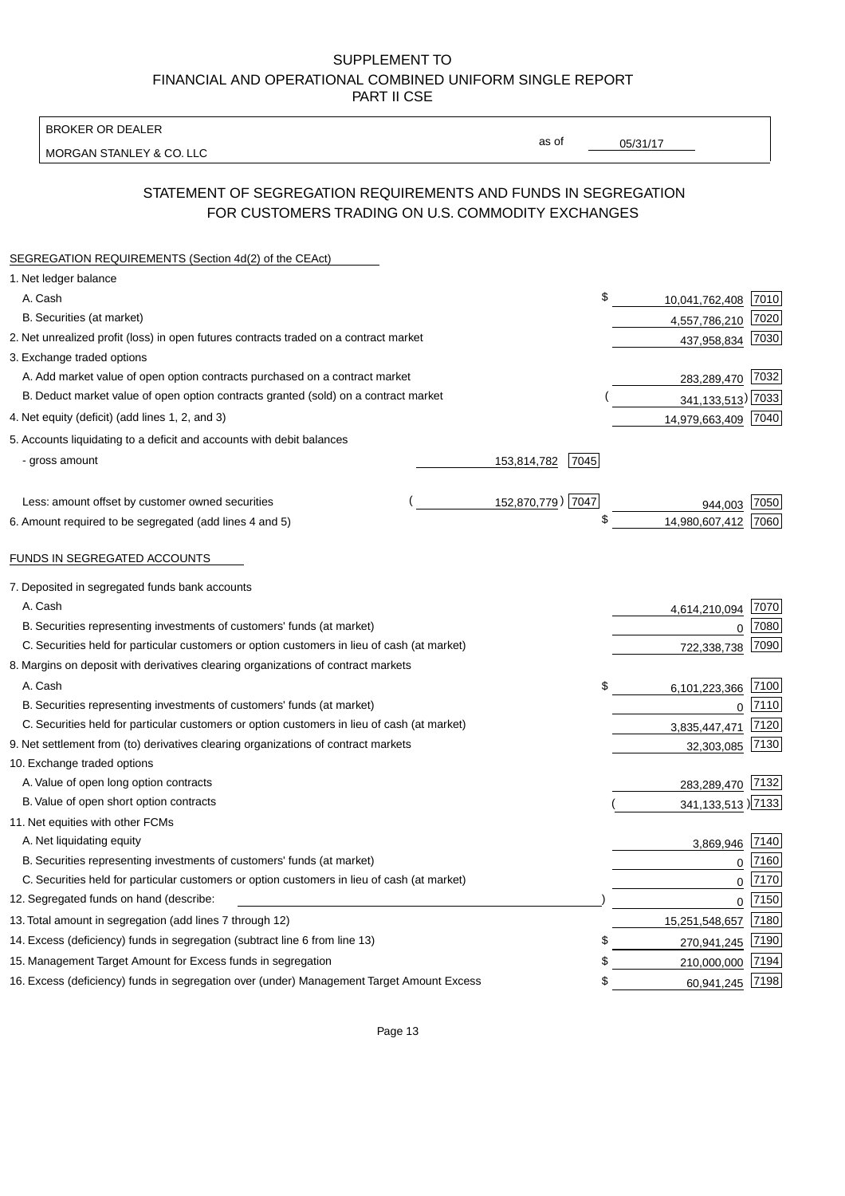BROKER OR DEALER

MORGAN STANLEY & CO. LLC

05/31/17

as of

# STATEMENT OF SEGREGATION REQUIREMENTS AND FUNDS IN SEGREGATION FOR CUSTOMERS TRADING ON U.S. COMMODITY EXCHANGES

| SEGREGATION REQUIREMENTS (Section 4d(2) of the CEAct)                                       |                   |      |                      |      |
|---------------------------------------------------------------------------------------------|-------------------|------|----------------------|------|
| 1. Net ledger balance                                                                       |                   |      |                      |      |
| A. Cash                                                                                     |                   | \$   | 10,041,762,408       | 7010 |
| B. Securities (at market)                                                                   |                   |      | 4,557,786,210        | 7020 |
| 2. Net unrealized profit (loss) in open futures contracts traded on a contract market       |                   |      | 437,958,834          | 7030 |
| 3. Exchange traded options                                                                  |                   |      |                      |      |
| A. Add market value of open option contracts purchased on a contract market                 |                   |      | 283,289,470 7032     |      |
| B. Deduct market value of open option contracts granted (sold) on a contract market         |                   |      | 341, 133, 513) 7033  |      |
| 4. Net equity (deficit) (add lines 1, 2, and 3)                                             |                   |      | 14,979,663,409 7040  |      |
| 5. Accounts liquidating to a deficit and accounts with debit balances                       |                   |      |                      |      |
| - gross amount                                                                              | 153,814,782       | 7045 |                      |      |
|                                                                                             |                   |      |                      |      |
| Less: amount offset by customer owned securities                                            | 152,870,779) 7047 |      | 944.003              | 7050 |
| 6. Amount required to be segregated (add lines 4 and 5)                                     |                   | \$   | 14,980,607,412       | 7060 |
|                                                                                             |                   |      |                      |      |
| FUNDS IN SEGREGATED ACCOUNTS                                                                |                   |      |                      |      |
| 7. Deposited in segregated funds bank accounts                                              |                   |      |                      |      |
| A. Cash                                                                                     |                   |      | 4,614,210,094        | 7070 |
| B. Securities representing investments of customers' funds (at market)                      |                   |      | $\Omega$             | 7080 |
| C. Securities held for particular customers or option customers in lieu of cash (at market) |                   |      | 722,338,738          | 7090 |
| 8. Margins on deposit with derivatives clearing organizations of contract markets           |                   |      |                      |      |
| A. Cash                                                                                     |                   | \$   | 6,101,223,366        | 7100 |
| B. Securities representing investments of customers' funds (at market)                      |                   |      | $\mathbf{0}$         | 7110 |
| C. Securities held for particular customers or option customers in lieu of cash (at market) |                   |      | 3,835,447,471        | 7120 |
| 9. Net settlement from (to) derivatives clearing organizations of contract markets          |                   |      | 32,303,085           | 7130 |
| 10. Exchange traded options                                                                 |                   |      |                      |      |
| A. Value of open long option contracts                                                      |                   |      | 283,289,470          | 7132 |
| B. Value of open short option contracts                                                     |                   |      | 341, 133, 513 > 7133 |      |
| 11. Net equities with other FCMs                                                            |                   |      |                      |      |
| A. Net liquidating equity                                                                   |                   |      | 3,869,946            | 7140 |
| B. Securities representing investments of customers' funds (at market)                      |                   |      | $\mathbf 0$          | 7160 |
| C. Securities held for particular customers or option customers in lieu of cash (at market) |                   |      | 0                    | 7170 |
| 12. Segregated funds on hand (describe:                                                     |                   |      | 0                    | 7150 |
| 13. Total amount in segregation (add lines 7 through 12)                                    |                   |      | 15,251,548,657       | 7180 |
| 14. Excess (deficiency) funds in segregation (subtract line 6 from line 13)                 |                   | S    | 270,941,245          | 7190 |
| 15. Management Target Amount for Excess funds in segregation                                |                   | \$   | 210,000,000          | 7194 |
| 16. Excess (deficiency) funds in segregation over (under) Management Target Amount Excess   |                   | \$   | 60,941,245           | 7198 |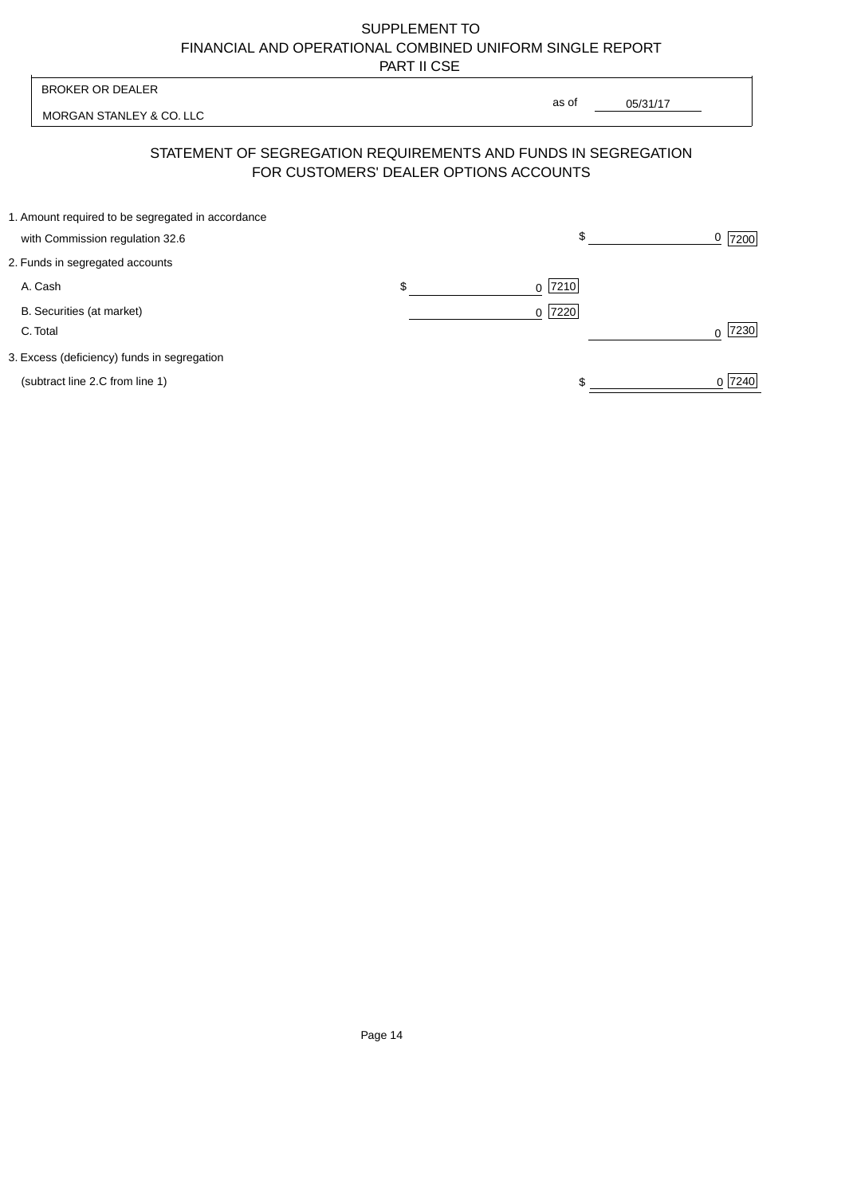| <b>BROKER OR DEALER</b><br>MORGAN STANLEY & CO. LLC            |    | as of                                  |                |
|----------------------------------------------------------------|----|----------------------------------------|----------------|
|                                                                |    | 05/31/17                               |                |
| STATEMENT OF SEGREGATION REQUIREMENTS AND FUNDS IN SEGREGATION |    | FOR CUSTOMERS' DEALER OPTIONS ACCOUNTS |                |
| 1. Amount required to be segregated in accordance              |    |                                        |                |
| with Commission regulation 32.6                                |    | \$                                     | <u>0</u>  7200 |
| 2. Funds in segregated accounts                                |    |                                        |                |
| A. Cash                                                        | \$ | $0$  7210                              |                |
| B. Securities (at market)<br>C. Total                          |    | 0 7220                                 | 7230           |
| 3. Excess (deficiency) funds in segregation                    |    |                                        |                |
| (subtract line 2.C from line 1)                                |    |                                        | 0 7240         |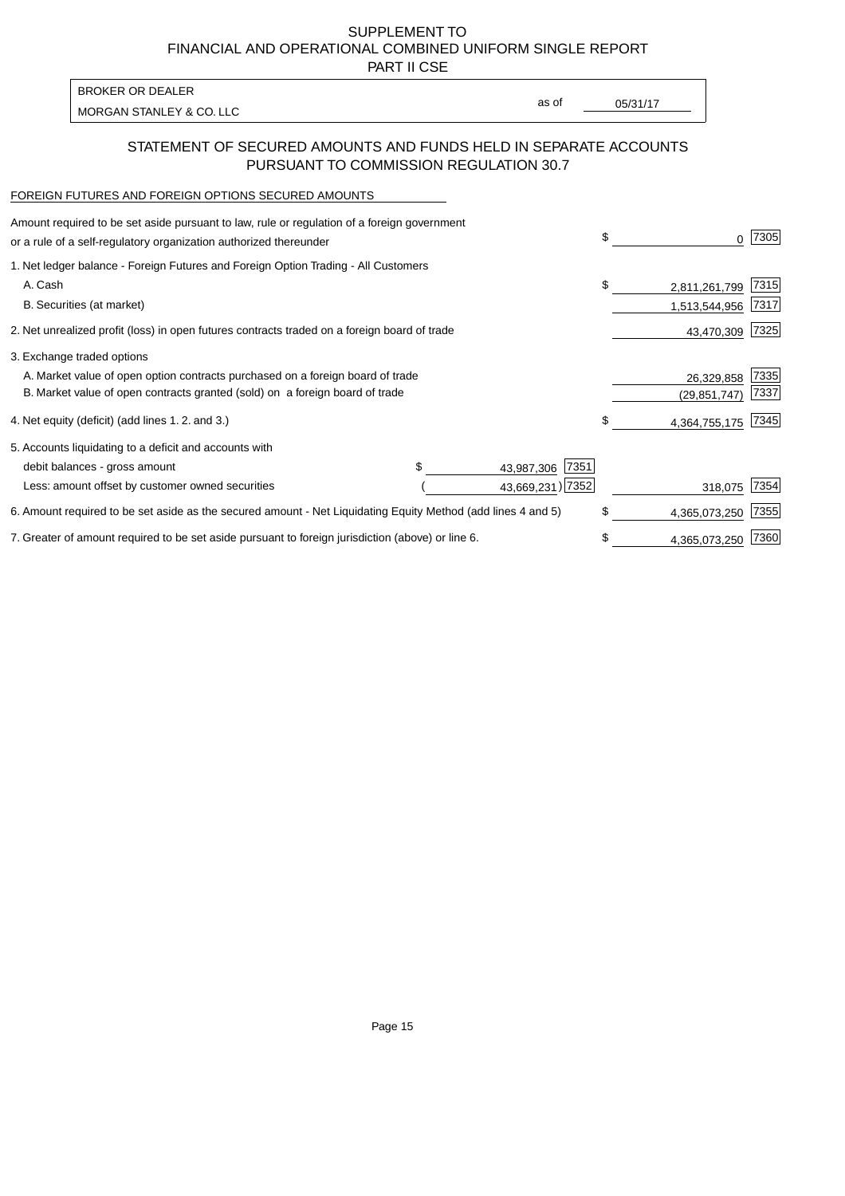PART II CSE

MORGAN STANLEY & CO. LLC and the contract of the contract of the contract of the contract of the contract of the contract of the contract of the contract of the contract of the contract of the contract of the contract of t BROKER OR DEALER

as of

### STATEMENT OF SECURED AMOUNTS AND FUNDS HELD IN SEPARATE ACCOUNTS PURSUANT TO COMMISSION REGULATION 30.7

#### FOREIGN FUTURES AND FOREIGN OPTIONS SECURED AMOUNTS

| Amount required to be set aside pursuant to law, rule or regulation of a foreign government<br>or a rule of a self-regulatory organization authorized thereunder |  |                    | \$             | 0             | 7305 |
|------------------------------------------------------------------------------------------------------------------------------------------------------------------|--|--------------------|----------------|---------------|------|
| 1. Net ledger balance - Foreign Futures and Foreign Option Trading - All Customers                                                                               |  |                    |                |               |      |
| A. Cash                                                                                                                                                          |  |                    | \$             | 2,811,261,799 | 7315 |
| B. Securities (at market)                                                                                                                                        |  |                    |                | 1,513,544,956 | 7317 |
| 2. Net unrealized profit (loss) in open futures contracts traded on a foreign board of trade                                                                     |  |                    |                | 43,470,309    | 7325 |
| 3. Exchange traded options                                                                                                                                       |  |                    |                |               |      |
| A. Market value of open option contracts purchased on a foreign board of trade                                                                                   |  |                    |                | 26,329,858    | 7335 |
| B. Market value of open contracts granted (sold) on a foreign board of trade                                                                                     |  |                    | (29, 851, 747) | 7337          |      |
| 4. Net equity (deficit) (add lines 1.2. and 3.)                                                                                                                  |  |                    | \$.            | 4,364,755,175 | 7345 |
| 5. Accounts liquidating to a deficit and accounts with                                                                                                           |  |                    |                |               |      |
| debit balances - gross amount                                                                                                                                    |  | 7351<br>43,987,306 |                |               |      |
| Less: amount offset by customer owned securities                                                                                                                 |  | 43,669,231) 7352   |                | 318,075       | 7354 |
| 6. Amount required to be set aside as the secured amount - Net Liquidating Equity Method (add lines 4 and 5)                                                     |  |                    | \$             | 4,365,073,250 | 7355 |
| 7. Greater of amount required to be set aside pursuant to foreign jurisdiction (above) or line 6.                                                                |  |                    | \$             | 4,365,073,250 | 7360 |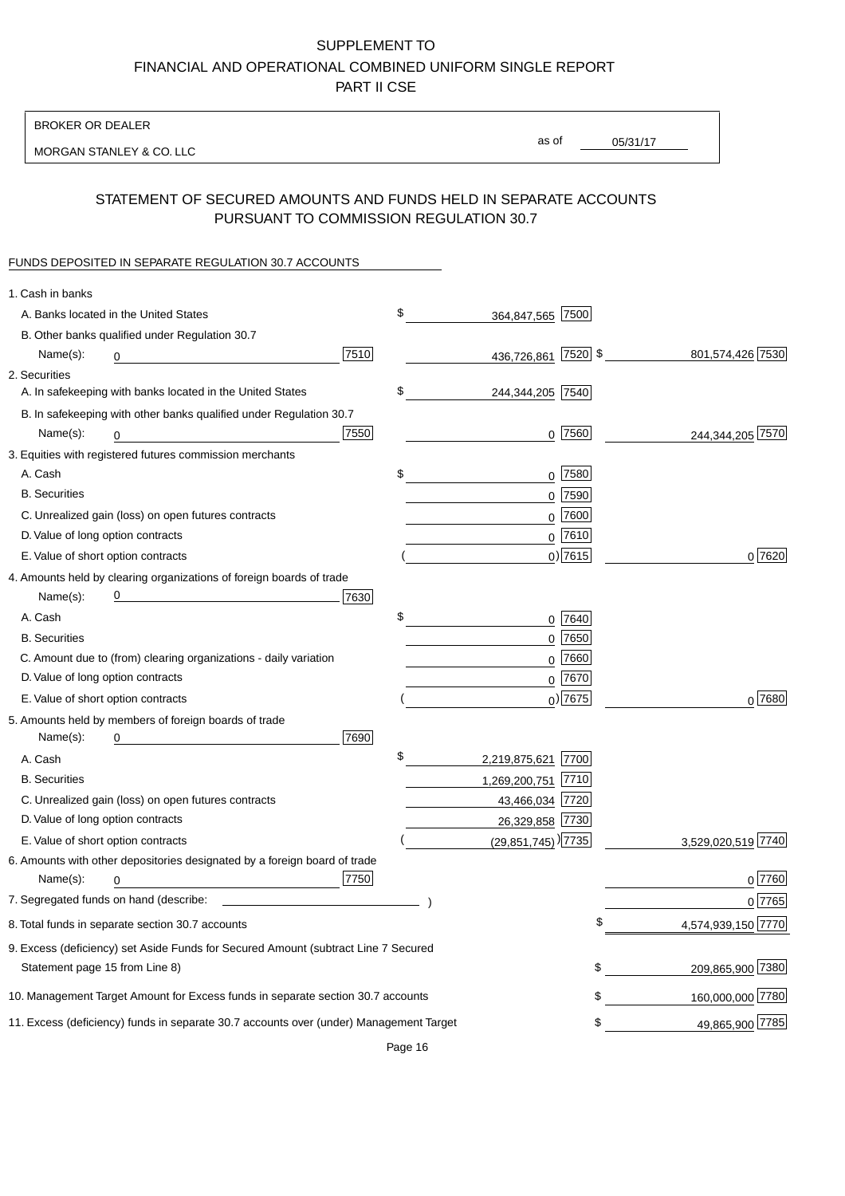BROKER OR DEALER

MORGAN STANLEY & CO. LLC

05/31/17 as of

## STATEMENT OF SECURED AMOUNTS AND FUNDS HELD IN SEPARATE ACCOUNTS PURSUANT TO COMMISSION REGULATION 30.7

### FUNDS DEPOSITED IN SEPARATE REGULATION 30.7 ACCOUNTS

| 1. Cash in banks                                                                       |                                    |             |                    |
|----------------------------------------------------------------------------------------|------------------------------------|-------------|--------------------|
| A. Banks located in the United States                                                  | \$<br>364,847,565 7500             |             |                    |
| B. Other banks qualified under Regulation 30.7                                         |                                    |             |                    |
| 7510<br>Name(s):<br>0                                                                  | 436,726,861 7520 \$                |             | 801,574,426 7530   |
| 2. Securities                                                                          |                                    |             |                    |
| A. In safekeeping with banks located in the United States                              | \$<br>244,344,205 7540             |             |                    |
| B. In safekeeping with other banks qualified under Regulation 30.7                     |                                    |             |                    |
| 7550<br>Name(s):<br>0                                                                  |                                    | $0$  7560   | 244,344,205 7570   |
| 3. Equities with registered futures commission merchants                               |                                    |             |                    |
| A. Cash                                                                                | \$                                 | $0$ 7580    |                    |
| <b>B.</b> Securities                                                                   |                                    | $0$ 7590    |                    |
| C. Unrealized gain (loss) on open futures contracts                                    | 0                                  | 7600        |                    |
| D. Value of long option contracts                                                      |                                    | $0$ 7610    |                    |
| E. Value of short option contracts                                                     |                                    | $0$ ) 7615  | 0 7620             |
| 4. Amounts held by clearing organizations of foreign boards of trade                   |                                    |             |                    |
| 7630<br>Name(s):                                                                       |                                    |             |                    |
| A. Cash                                                                                | \$                                 | 0 7640      |                    |
| <b>B.</b> Securities                                                                   |                                    | $0$ 7650    |                    |
| C. Amount due to (from) clearing organizations - daily variation                       |                                    | $0$ 7660    |                    |
| D. Value of long option contracts                                                      |                                    | $0$ 7670    |                    |
| E. Value of short option contracts                                                     |                                    | $_0$ ) 7675 | $0^{7680}$         |
| 5. Amounts held by members of foreign boards of trade                                  |                                    |             |                    |
| 7690<br>Name(s):<br>0                                                                  |                                    |             |                    |
| A. Cash                                                                                | \$<br>2,219,875,621 7700           |             |                    |
| <b>B.</b> Securities                                                                   | 1,269,200,751 7710                 |             |                    |
| C. Unrealized gain (loss) on open futures contracts                                    | 43,466,034 7720                    |             |                    |
| D. Value of long option contracts                                                      | 26,329,858 7730                    |             |                    |
| E. Value of short option contracts                                                     | $(29,851,745)$ <sup>)</sup> [7735] |             | 3,529,020,519 7740 |
| 6. Amounts with other depositories designated by a foreign board of trade              |                                    |             |                    |
| 7750<br>Name(s):<br>0                                                                  |                                    |             | 0 7760             |
|                                                                                        |                                    |             | 0 7765             |
| 8. Total funds in separate section 30.7 accounts                                       |                                    | ¢           | 4,574,939,150 7770 |
| 9. Excess (deficiency) set Aside Funds for Secured Amount (subtract Line 7 Secured     |                                    |             |                    |
| Statement page 15 from Line 8)                                                         |                                    | \$          | 209,865,900 7380   |
| 10. Management Target Amount for Excess funds in separate section 30.7 accounts        |                                    | \$          | 160,000,000 7780   |
| 11. Excess (deficiency) funds in separate 30.7 accounts over (under) Management Target |                                    | \$          | 49,865,900 7785    |